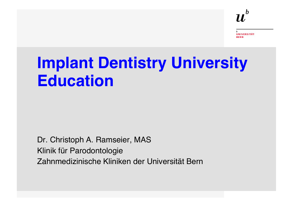# **Implant Dentistry University Education**

Dr. Christoph A. Ramseier, MAS Klinik für Parodontologie Zahnmedizinische Kliniken der Universität Bern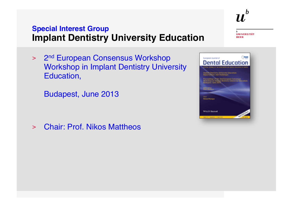> 2<sup>nd</sup> European Consensus Workshop Workshop in Implant Dentistry University Education,

Budapest, June 2013

> Chair: Prof. Nikos Mattheos

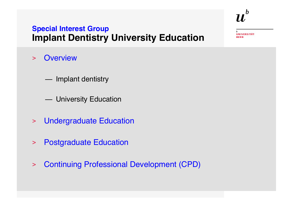- > Overview
	- Implant dentistry
	- University Education
- > Undergraduate Education
- > Postgraduate Education
- > Continuing Professional Development (CPD)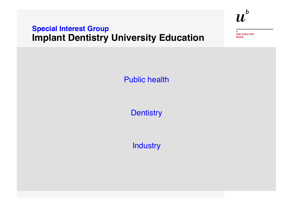**UNIVERSITÄT BERN** 

 $\boldsymbol{u}^{\text{\tiny{b}}}$ 

Public health

**Dentistry** 

**Industry**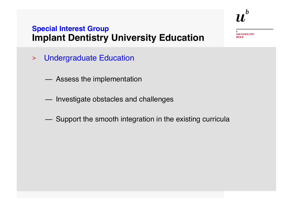UNIVERSITÄT

- > Undergraduate Education
	- Assess the implementation
	- Investigate obstacles and challenges
	- Support the smooth integration in the existing curricula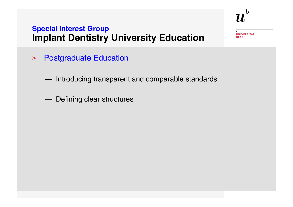- > Postgraduate Education
	- Introducing transparent and comparable standards
	- Defining clear structures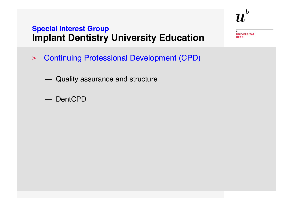- > Continuing Professional Development (CPD)
	- Quality assurance and structure
	- DentCPD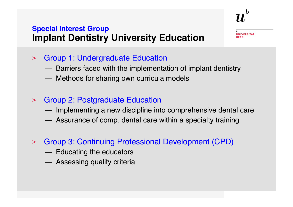**NIVERSITÄT** 

- > Group 1: Undergraduate Education
	- Barriers faced with the implementation of implant dentistry
	- Methods for sharing own curricula models
- > Group 2: Postgraduate Education
	- Implementing a new discipline into comprehensive dental care
	- Assurance of comp. dental care within a specialty training
- > Group 3: Continuing Professional Development (CPD)
	- Educating the educators
	- Assessing quality criteria